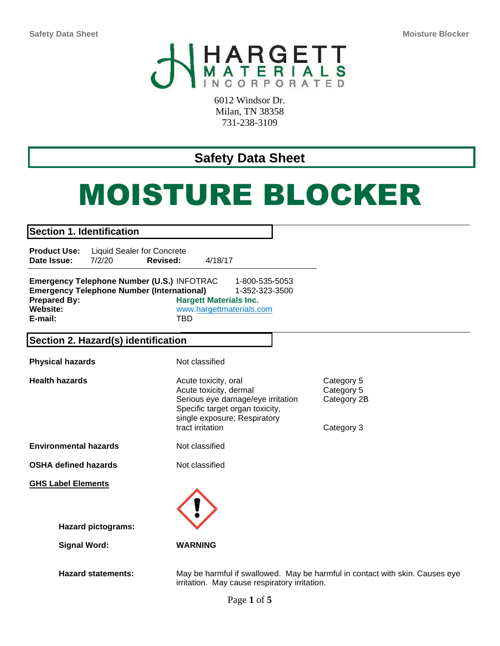

6012 Windsor Dr. Milan, TN 38358 731-238-3109

# **Safety Data Sheet**

# MOISTURE BLOCKER

| <b>Section 1. Identification</b>                                                                                                              |                                                                                                                                                                            |                                                       |
|-----------------------------------------------------------------------------------------------------------------------------------------------|----------------------------------------------------------------------------------------------------------------------------------------------------------------------------|-------------------------------------------------------|
| <b>Product Use:</b><br><b>Liquid Sealer for Concrete</b><br>Date Issue:<br>7/2/20<br>Revised:                                                 | 4/18/17                                                                                                                                                                    |                                                       |
| Emergency Telephone Number (U.S.) INFOTRAC<br><b>Emergency Telephone Number (International)</b><br><b>Prepared By:</b><br>Website:<br>E-mail: | 1-800-535-5053<br>1-352-323-3500<br><b>Hargett Materials Inc.</b><br>www.hargettmaterials.com<br><b>TBD</b>                                                                |                                                       |
| Section 2. Hazard(s) identification                                                                                                           |                                                                                                                                                                            |                                                       |
| <b>Physical hazards</b>                                                                                                                       | Not classified                                                                                                                                                             |                                                       |
| <b>Health hazards</b>                                                                                                                         | Acute toxicity, oral<br>Acute toxicity, dermal<br>Serious eye damage/eye irritation<br>Specific target organ toxicity,<br>single exposure; Respiratory<br>tract irritation | Category 5<br>Category 5<br>Category 2B<br>Category 3 |
| <b>Environmental hazards</b>                                                                                                                  | Not classified                                                                                                                                                             |                                                       |
| <b>OSHA defined hazards</b>                                                                                                                   | Not classified                                                                                                                                                             |                                                       |
| <b>GHS Label Elements</b>                                                                                                                     |                                                                                                                                                                            |                                                       |
|                                                                                                                                               |                                                                                                                                                                            |                                                       |
| <b>Hazard pictograms:</b>                                                                                                                     |                                                                                                                                                                            |                                                       |
| <b>Signal Word:</b>                                                                                                                           | <b>WARNING</b>                                                                                                                                                             |                                                       |
| <b>Hazard statements:</b>                                                                                                                     | May be harmful if swallowed. May be harmful in contact with skin. Causes eye<br>irritation. May cause respiratory irritation.                                              |                                                       |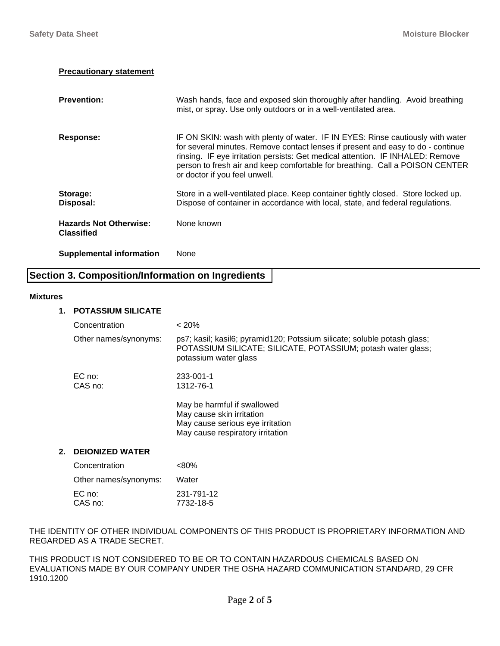#### **Precautionary statement**

| <b>Prevention:</b>                                 | Wash hands, face and exposed skin thoroughly after handling. Avoid breathing<br>mist, or spray. Use only outdoors or in a well-ventilated area.                                                                                                                                                                                                                      |
|----------------------------------------------------|----------------------------------------------------------------------------------------------------------------------------------------------------------------------------------------------------------------------------------------------------------------------------------------------------------------------------------------------------------------------|
| <b>Response:</b>                                   | IF ON SKIN: wash with plenty of water. IF IN EYES: Rinse cautiously with water<br>for several minutes. Remove contact lenses if present and easy to do - continue<br>rinsing. IF eye irritation persists: Get medical attention. IF INHALED: Remove<br>person to fresh air and keep comfortable for breathing. Call a POISON CENTER<br>or doctor if you feel unwell. |
| Storage:<br>Disposal:                              | Store in a well-ventilated place. Keep container tightly closed. Store locked up.<br>Dispose of container in accordance with local, state, and federal regulations.                                                                                                                                                                                                  |
| <b>Hazards Not Otherwise:</b><br><b>Classified</b> | None known                                                                                                                                                                                                                                                                                                                                                           |
| <b>Supplemental information</b>                    | None                                                                                                                                                                                                                                                                                                                                                                 |

# **Section 3. Composition/Information on Ingredients**

#### **Mixtures**

#### **1. POTASSIUM SILICATE**

|    | Concentration          | < 20%                                                                                                                                                             |
|----|------------------------|-------------------------------------------------------------------------------------------------------------------------------------------------------------------|
|    | Other names/synonyms:  | ps7; kasil; kasil6; pyramid120; Potssium silicate; soluble potash glass;<br>POTASSIUM SILICATE; SILICATE, POTASSIUM; potash water glass;<br>potassium water glass |
|    | $EC$ no:               | 233-001-1                                                                                                                                                         |
|    | CAS no:                | 1312-76-1                                                                                                                                                         |
|    |                        | May be harmful if swallowed<br>May cause skin irritation<br>May cause serious eye irritation<br>May cause respiratory irritation                                  |
| 2. | <b>DEIONIZED WATER</b> |                                                                                                                                                                   |
|    | Concentration          | $< 80\%$                                                                                                                                                          |
|    | Other names/synonyms:  | Water                                                                                                                                                             |
|    | FO                     |                                                                                                                                                                   |

| EC no:  | 231-791-12 |
|---------|------------|
| CAS no: | 7732-18-5  |
|         |            |

THE IDENTITY OF OTHER INDIVIDUAL COMPONENTS OF THIS PRODUCT IS PROPRIETARY INFORMATION AND REGARDED AS A TRADE SECRET.

THIS PRODUCT IS NOT CONSIDERED TO BE OR TO CONTAIN HAZARDOUS CHEMICALS BASED ON EVALUATIONS MADE BY OUR COMPANY UNDER THE OSHA HAZARD COMMUNICATION STANDARD, 29 CFR 1910.1200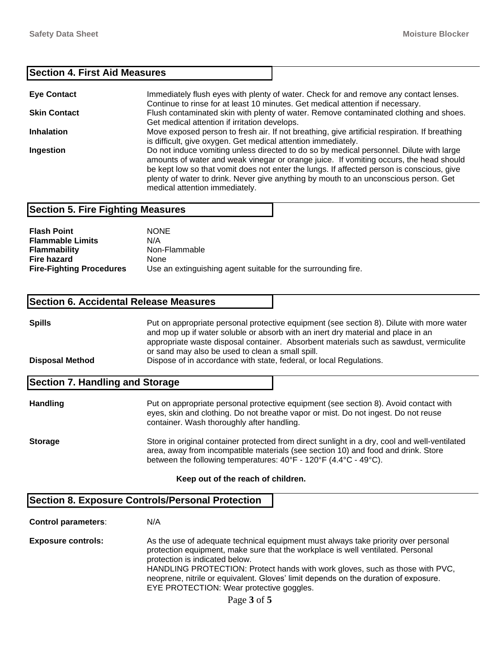#### **Section 4. First Aid Measures**

| <b>Eye Contact</b>  | Immediately flush eyes with plenty of water. Check for and remove any contact lenses.<br>Continue to rinse for at least 10 minutes. Get medical attention if necessary.                                                                                                                                                                                                                                  |
|---------------------|----------------------------------------------------------------------------------------------------------------------------------------------------------------------------------------------------------------------------------------------------------------------------------------------------------------------------------------------------------------------------------------------------------|
| <b>Skin Contact</b> | Flush contaminated skin with plenty of water. Remove contaminated clothing and shoes.<br>Get medical attention if irritation develops.                                                                                                                                                                                                                                                                   |
| <b>Inhalation</b>   | Move exposed person to fresh air. If not breathing, give artificial respiration. If breathing<br>is difficult, give oxygen. Get medical attention immediately.                                                                                                                                                                                                                                           |
| Ingestion           | Do not induce vomiting unless directed to do so by medical personnel. Dilute with large<br>amounts of water and weak vinegar or orange juice. If vomiting occurs, the head should<br>be kept low so that vomit does not enter the lungs. If affected person is conscious, give<br>plenty of water to drink. Never give anything by mouth to an unconscious person. Get<br>medical attention immediately. |

#### **Section 5. Fire Fighting Measures**

| <b>Flash Point</b>              | <b>NONE</b>                                                   |
|---------------------------------|---------------------------------------------------------------|
| <b>Flammable Limits</b>         | N/A                                                           |
| <b>Flammability</b>             | Non-Flammable                                                 |
| Fire hazard                     | <b>None</b>                                                   |
| <b>Fire-Fighting Procedures</b> | Use an extinguishing agent suitable for the surrounding fire. |

#### **Section 6. Accidental Release Measures**

| <b>Spills</b>          | Put on appropriate personal protective equipment (see section 8). Dilute with more water |  |
|------------------------|------------------------------------------------------------------------------------------|--|
|                        | and mop up if water soluble or absorb with an inert dry material and place in an         |  |
|                        | appropriate waste disposal container. Absorbent materials such as sawdust, vermiculite   |  |
|                        | or sand may also be used to clean a small spill.                                         |  |
| <b>Disposal Method</b> | Dispose of in accordance with state, federal, or local Regulations.                      |  |

#### **Section 7. Handling and Storage**

| <b>Handling</b> | Put on appropriate personal protective equipment (see section 8). Avoid contact with<br>eyes, skin and clothing. Do not breathe vapor or mist. Do not ingest. Do not reuse<br>container. Wash thoroughly after handling.                                                              |
|-----------------|---------------------------------------------------------------------------------------------------------------------------------------------------------------------------------------------------------------------------------------------------------------------------------------|
| <b>Storage</b>  | Store in original container protected from direct sunlight in a dry, cool and well-ventilated<br>area, away from incompatible materials (see section 10) and food and drink. Store<br>between the following temperatures: $40^{\circ}F - 120^{\circ}F (4.4^{\circ}C - 49^{\circ}C)$ . |

#### **Keep out of the reach of children.**

# **Section 8. Exposure Controls/Personal Protection**

**Control parameters**: N/A

**Exposure controls:** As the use of adequate technical equipment must always take priority over personal protection equipment, make sure that the workplace is well ventilated. Personal protection is indicated below. HANDLING PROTECTION: Protect hands with work gloves, such as those with PVC, neoprene, nitrile or equivalent. Gloves' limit depends on the duration of exposure. EYE PROTECTION: Wear protective goggles.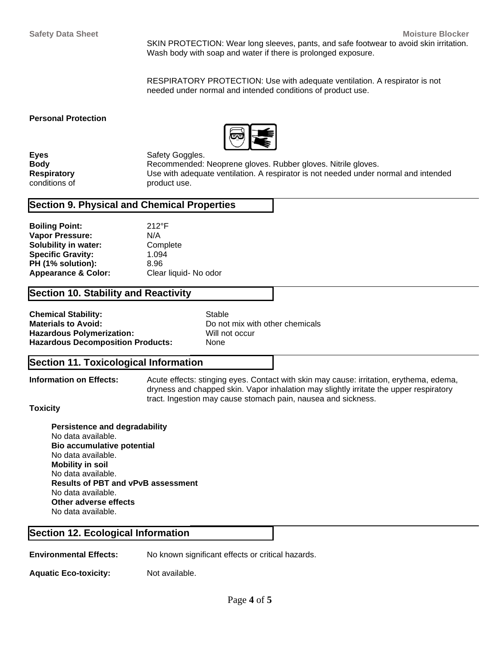SKIN PROTECTION: Wear long sleeves, pants, and safe footwear to avoid skin irritation. Wash body with soap and water if there is prolonged exposure.

RESPIRATORY PROTECTION: Use with adequate ventilation. A respirator is not needed under normal and intended conditions of product use.

#### **Personal Protection**



**Eyes** Safety Goggles.

**Body Recommended: Neoprene gloves. Rubber gloves. Nitrile gloves.** Next provide Recommended: Neoprene gloves. Nitrile gloves. **Respiratory** Use with adequate ventilation. A respirator is not needed under normal and intended conditions of product use.

# **Section 9. Physical and Chemical Properties**

| <b>Boiling Point:</b>          | $212^{\circ}F$        |
|--------------------------------|-----------------------|
| <b>Vapor Pressure:</b>         | N/A                   |
| Solubility in water:           | Complete              |
| <b>Specific Gravity:</b>       | 1.094                 |
| PH (1% solution):              | 8.96                  |
| <b>Appearance &amp; Color:</b> | Clear liquid- No odor |

# **Section 10. Stability and Reactivity**

| <b>Chemical Stability:</b>               | Stable  |
|------------------------------------------|---------|
| <b>Materials to Avoid:</b>               | Do not  |
| <b>Hazardous Polymerization:</b>         | Will nc |
| <b>Hazardous Decomposition Products:</b> | None    |

Do not mix with other chemicals **Will not occur** 

# **Section 11. Toxicological Information**

**Information on Effects:** Acute effects: stinging eyes. Contact with skin may cause: irritation, erythema, edema, dryness and chapped skin. Vapor inhalation may slightly irritate the upper respiratory tract. Ingestion may cause stomach pain, nausea and sickness.

#### **Toxicity**

**Persistence and degradability** No data available. **Bio accumulative potential** No data available. **Mobility in soil** No data available. **Results of PBT and vPvB assessment** No data available. **Other adverse effects** No data available.

#### **Section 12. Ecological Information**

**Environmental Effects:** No known significant effects or critical hazards.

Aquatic Eco-toxicity: Not available.